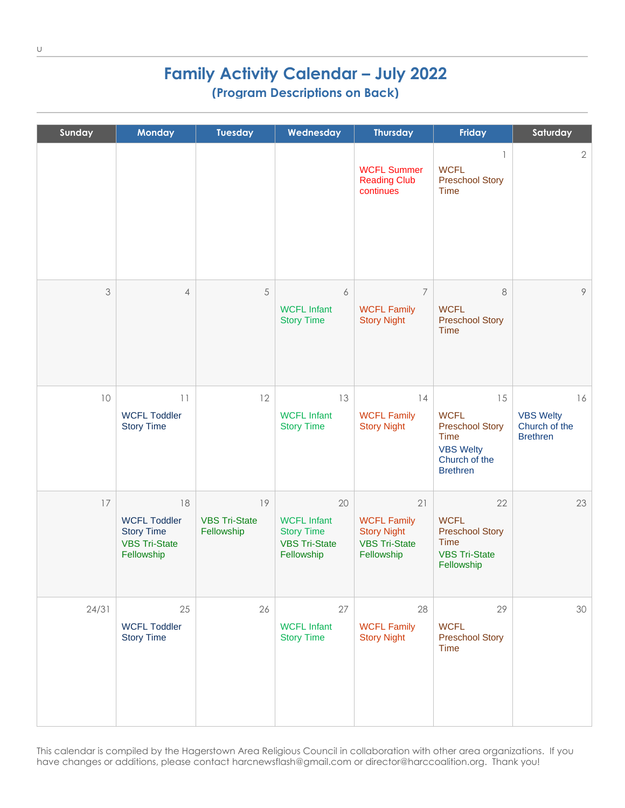## **Family Activity Calendar – July 2022 (Program Descriptions on Back)**

| Sunday | <b>Monday</b>                                                                        | <b>Tuesday</b>                           | Wednesday                                                                           | <b>Thursday</b>                                                                      | Friday                                                                                                      | Saturday                                                   |
|--------|--------------------------------------------------------------------------------------|------------------------------------------|-------------------------------------------------------------------------------------|--------------------------------------------------------------------------------------|-------------------------------------------------------------------------------------------------------------|------------------------------------------------------------|
|        |                                                                                      |                                          |                                                                                     | <b>WCFL Summer</b><br><b>Reading Club</b><br>continues                               | $\mathbf{1}$<br><b>WCFL</b><br><b>Preschool Story</b><br>Time                                               | $\overline{2}$                                             |
| 3      | 4                                                                                    | 5                                        | 6<br><b>WCFL Infant</b><br><b>Story Time</b>                                        | $\overline{7}$<br><b>WCFL Family</b><br><b>Story Night</b>                           | 8<br><b>WCFL</b><br><b>Preschool Story</b><br>Time                                                          | 9                                                          |
| 10     | 11<br><b>WCFL Toddler</b><br><b>Story Time</b>                                       | 12                                       | 13<br><b>WCFL Infant</b><br><b>Story Time</b>                                       | 14<br><b>WCFL Family</b><br><b>Story Night</b>                                       | 15<br><b>WCFL</b><br><b>Preschool Story</b><br>Time<br><b>VBS Welty</b><br>Church of the<br><b>Brethren</b> | 16<br><b>VBS Welty</b><br>Church of the<br><b>Brethren</b> |
| 17     | 18<br><b>WCFL Toddler</b><br><b>Story Time</b><br><b>VBS Tri-State</b><br>Fellowship | 19<br><b>VBS Tri-State</b><br>Fellowship | 20<br><b>WCFL Infant</b><br><b>Story Time</b><br><b>VBS Tri-State</b><br>Fellowship | 21<br><b>WCFL Family</b><br><b>Story Night</b><br><b>VBS Tri-State</b><br>Fellowship | 22<br><b>WCFL</b><br><b>Preschool Story</b><br><b>Time</b><br><b>VBS Tri-State</b><br>Fellowship            | 23                                                         |
| 24/31  | 25<br><b>WCFL Toddler</b><br><b>Story Time</b>                                       | 26                                       | 27<br><b>WCFL Infant</b><br><b>Story Time</b>                                       | 28<br><b>WCFL Family</b><br><b>Story Night</b>                                       | 29<br><b>WCFL</b><br><b>Preschool Story</b><br>Time                                                         | 30                                                         |

This calendar is compiled by the Hagerstown Area Religious Council in collaboration with other area organizations. If you have changes or additions, please contact harcnewsflash@gmail.com or director@harccoalition.org. Thank you!